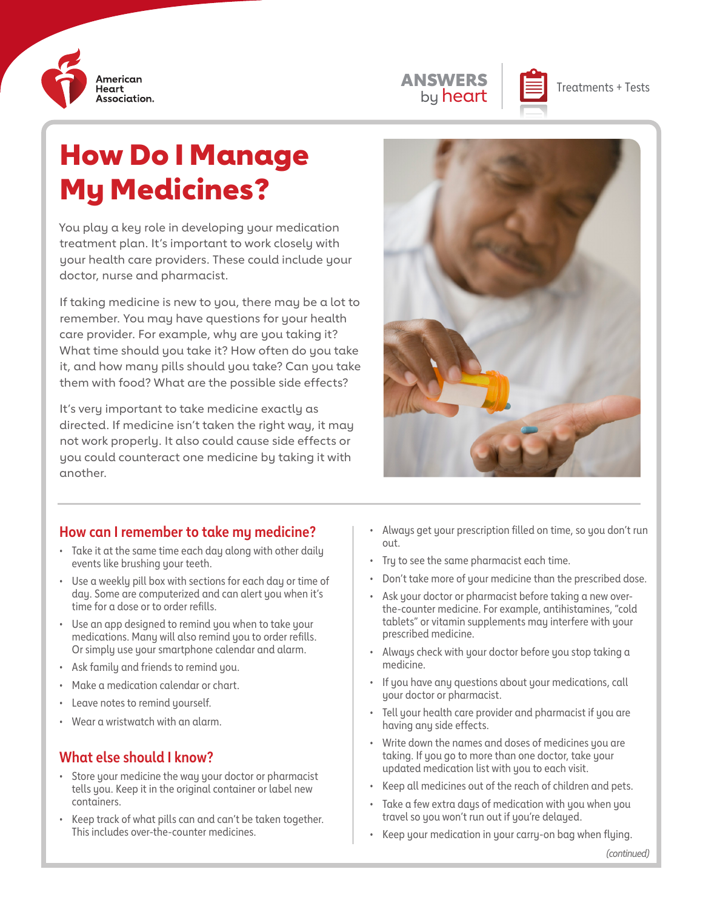



# How Do I Manage My Medicines?

You play a key role in developing your medication treatment plan. It's important to work closely with your health care providers. These could include your doctor, nurse and pharmacist.

If taking medicine is new to you, there may be a lot to remember. You may have questions for your health care provider. For example, why are you taking it? What time should you take it? How often do you take it, and how many pills should you take? Can you take them with food? What are the possible side effects?

It's very important to take medicine exactly as directed. If medicine isn't taken the right way, it may not work properly. It also could cause side effects or you could counteract one medicine by taking it with another.



#### **How can I remember to take my medicine?**

- Take it at the same time each day along with other daily events like brushing your teeth.
- Use a weekly pill box with sections for each day or time of day. Some are computerized and can alert you when it's time for a dose or to order refills.
- Use an app designed to remind you when to take your medications. Many will also remind you to order refills. Or simply use your smartphone calendar and alarm.
- Ask family and friends to remind you.
- Make a medication calendar or chart.
- Leave notes to remind yourself.
- Wear a wristwatch with an alarm.

#### **What else should I know?**

- Store your medicine the way your doctor or pharmacist tells you. Keep it in the original container or label new containers.
- Keep track of what pills can and can't be taken together. This includes over-the-counter medicines.
- Always get your prescription filled on time, so you don't run out.
- Try to see the same pharmacist each time.
- Don't take more of your medicine than the prescribed dose.
- Ask your doctor or pharmacist before taking a new overthe-counter medicine. For example, antihistamines, "cold tablets" or vitamin supplements may interfere with your prescribed medicine.
- Always check with your doctor before you stop taking a medicine.
- If you have any questions about your medications, call your doctor or pharmacist.
- Tell your health care provider and pharmacist if you are having any side effects.
- Write down the names and doses of medicines you are taking. If you go to more than one doctor, take your updated medication list with you to each visit.
- Keep all medicines out of the reach of children and pets.
- Take a few extra days of medication with you when you travel so you won't run out if you're delayed.
- Keep your medication in your carry-on bag when flying.